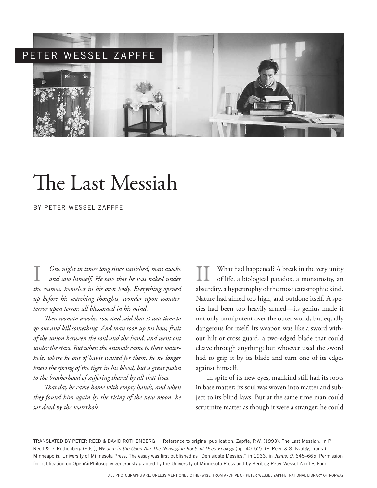

## The Last Messiah

## BY PETER WESSEL ZAPFFE

I One night in times long since vanished, man awoke and saw himself. He saw that he was naked under *and saw himself. He saw that he was naked under the cosmos, homeless in his own body. Everything opened up before his searching thoughts, wonder upon wonder, terror upon terror, all blossomed in his mind.*

*Then woman awoke, too, and said that it was time to go out and kill something. And man took up his bow, fruit of the union between the soul and the hand, and went out under the stars. But when the animals came to their waterhole, where he out of habit waited for them, he no longer knew the spring of the tiger in his blood, but a great psalm to the brotherhood of suffering shared by all that lives.*

*That day he came home with empty hands, and when they found him again by the rising of the new moon, he sat dead by the waterhole.*

What had happened? A break in the very unity of life, a biological paradox, a monstrosity, an absurdity, a hypertrophy of the most catastrophic kind. Nature had aimed too high, and outdone itself. A species had been too heavily armed—its genius made it not only omnipotent over the outer world, but equally dangerous for itself. Its weapon was like a sword without hilt or cross guard, a two-edged blade that could cleave through anything; but whoever used the sword had to grip it by its blade and turn one of its edges against himself.

In spite of its new eyes, mankind still had its roots in base matter; its soul was woven into matter and subject to its blind laws. But at the same time man could scrutinize matter as though it were a stranger; he could

TRANSLATED BY PETER REED & DAVID ROTHENBERG | Reference to original publication: Zapffe, P.W. (1993). The Last Messiah. In P. Reed & D. Rothenberg (Eds.), *Wisdom in the Open Air: The Norwegian Roots of Deep Ecology* (pp. 40–52). (P. Reed & S. Kvaløy, Trans.). Minneapolis: University of Minnesota Press. The essay was first published as "Den sidste Messias," in 1933, in *Janus*, *9*, 645–665. Permission for publication on OpenAirPhilosophy generously granted by the University of Minnesota Press and by Berit og Peter Wessel Zapffes Fond.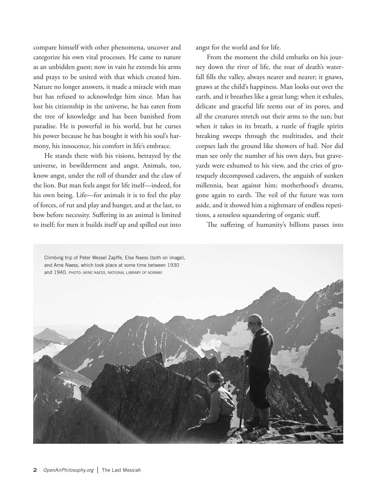compare himself with other phenomena, uncover and categorize his own vital processes. He came to nature as an unbidden guest; now in vain he extends his arms and prays to be united with that which created him. Nature no longer answers, it made a miracle with man but has refused to acknowledge him since. Man has lost his citizenship in the universe, he has eaten from the tree of knowledge and has been banished from paradise. He is powerful in his world, but he curses his power because he has bought it with his soul's harmony, his innocence, his comfort in life's embrace.

He stands there with his visions, betrayed by the universe, in bewilderment and angst. Animals, too, know angst, under the roll of thunder and the claw of the lion. But man feels angst for life itself—indeed, for his own being. Life—for animals it is to feel the play of forces, of rut and play and hunger, and at the last, to bow before necessity. Suffering in an animal is limited to itself; for men it builds itself up and spilled out into

angst for the world and for life.

From the moment the child embarks on his journey down the river of life, the roar of death's waterfall fills the valley, always nearer and nearer; it gnaws, gnaws at the child's happiness. Man looks out over the earth, and it breathes like a great lung; when it exhales, delicate and graceful life teems out of its pores, and all the creatures stretch out their arms to the sun; but when it takes in its breath, a rustle of fragile spirits breaking sweeps through the multitudes, and their corpses lash the ground like showers of hail. Nor did man see only the number of his own days, but graveyards were exhumed to his view, and the cries of grotesquely decomposed cadavers, the anguish of sunken millennia, beat against him; motherhood's dreams, gone again to earth. The veil of the future was torn aside, and it showed him a nightmare of endless repetitions, a senseless squandering of organic stuff.

The suffering of humanity's billions passes into

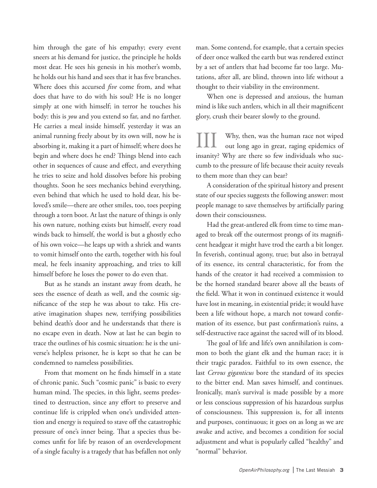him through the gate of his empathy; every event sneers at his demand for justice, the principle he holds most dear. He sees his genesis in his mother's womb, he holds out his hand and sees that it has five branches. Where does this accursed *five* come from, and what does that have to do with his soul? He is no longer simply at one with himself; in terror he touches his body: this is *you* and you extend so far, and no farther. He carries a meal inside himself, yesterday it was an animal running freely about by its own will, now he is absorbing it, making it a part of himself; where does he begin and where does he end? Things blend into each other in sequences of cause and effect, and everything he tries to seize and hold dissolves before his probing thoughts. Soon he sees mechanics behind everything, even behind that which he used to hold dear, his beloved's smile—there are other smiles, too, toes peeping through a torn boot. At last the nature of things is only his own nature, nothing exists but himself, every road winds back to himself, the world is but a ghostly echo of his own voice—he leaps up with a shriek and wants to vomit himself onto the earth, together with his foul meal, he feels insanity approaching, and tries to kill himself before he loses the power to do even that.

But as he stands an instant away from death, he sees the essence of death as well, and the cosmic significance of the step he was about to take. His creative imagination shapes new, terrifying possibilities behind death's door and he understands that there is no escape even in death. Now at last he can begin to trace the outlines of his cosmic situation: he is the universe's helpless prisoner, he is kept so that he can be condemned to nameless possibilities.

From that moment on he finds himself in a state of chronic panic. Such "cosmic panic" is basic to every human mind. The species, in this light, seems predestined to destruction, since any effort to preserve and continue life is crippled when one's undivided attention and energy is required to stave off the catastrophic pressure of one's inner being. That a species thus becomes unfit for life by reason of an overdevelopment of a single faculty is a tragedy that has befallen not only

man. Some contend, for example, that a certain species of deer once walked the earth but was rendered extinct by a set of antlers that had become far too large. Mutations, after all, are blind, thrown into life without a thought to their viability in the environment.

When one is depressed and anxious, the human mind is like such antlers, which in all their magnificent glory, crush their bearer slowly to the ground.

Why, then, was the human race not wiped out long ago in great, raging epidemics of insanity? Why are there so few individuals who succumb to the pressure of life because their acuity reveals to them more than they can bear? III

A consideration of the spiritual history and present state of our species suggests the following answer: most people manage to save themselves by artificially paring down their consciousness.

Had the great-antlered elk from time to time managed to break off the outermost prongs of its magnificent headgear it might have trod the earth a bit longer. In feverish, continual agony, true; but also in betrayal of its essence, its central characteristic, for from the hands of the creator it had received a commission to be the horned standard bearer above all the beasts of the field. What it won in continued existence it would have lost in meaning, in existential pride; it would have been a life without hope, a march not toward confirmation of its essence, but past confirmation's ruins, a self-destructive race against the sacred will of its blood.

The goal of life and life's own annihilation is common to both the giant elk and the human race; it is their tragic paradox. Faithful to its own essence, the last *Cervus giganticus* bore the standard of its species to the bitter end. Man saves himself, and continues. Ironically, man's survival is made possible by a more or less conscious suppression of his hazardous surplus of consciousness. This suppression is, for all intents and purposes, continuous; it goes on as long as we are awake and active, and becomes a condition for social adjustment and what is popularly called "healthy" and "normal" behavior.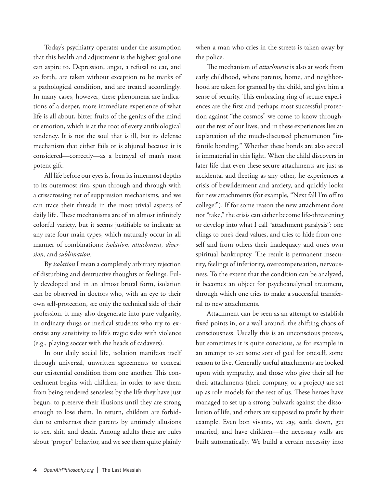Today's psychiatry operates under the assumption that this health and adjustment is the highest goal one can aspire to. Depression, angst, a refusal to eat, and so forth, are taken without exception to be marks of a pathological condition, and are treated accordingly. In many cases, however, these phenomena are indications of a deeper, more immediate experience of what life is all about, bitter fruits of the genius of the mind or emotion, which is at the root of every antibiological tendency. It is not the soul that is ill, but its defense mechanism that either fails or is abjured because it is considered—correctly—as a betrayal of man's most potent gift.

All life before our eyes is, from its innermost depths to its outermost rim, spun through and through with a crisscrossing net of suppression mechanisms, and we can trace their threads in the most trivial aspects of daily life. These mechanisms are of an almost infinitely colorful variety, but it seems justifiable to indicate at any rate four main types, which naturally occur in all manner of combinations: *isolation, attachment, diversion,* and *sublimation.*

By *isolation* I mean a completely arbitrary rejection of disturbing and destructive thoughts or feelings. Fully developed and in an almost brutal form, isolation can be observed in doctors who, with an eye to their own self-protection, see only the technical side of their profession. It may also degenerate into pure vulgarity, in ordinary thugs or medical students who try to exorcise any sensitivity to life's tragic sides with violence (e.g., playing soccer with the heads of cadavers).

In our daily social life, isolation manifests itself through universal, unwritten agreements to conceal our existential condition from one another. This concealment begins with children, in order to save them from being rendered senseless by the life they have just begun, to preserve their illusions until they are strong enough to lose them. In return, children are forbidden to embarrass their parents by untimely allusions to sex, shit, and death. Among adults there are rules about "proper" behavior, and we see them quite plainly

when a man who cries in the streets is taken away by the police.

The mechanism of *attachment* is also at work from early childhood, where parents, home, and neighborhood are taken for granted by the child, and give him a sense of security. This embracing ring of secure experiences are the first and perhaps most successful protection against "the cosmos" we come to know throughout the rest of our lives, and in these experiences lies an explanation of the much-discussed phenomenon "infantile bonding." Whether these bonds are also sexual is immaterial in this light. When the child discovers in later life that even these secure attachments are just as accidental and fleeting as any other, he experiences a crisis of bewilderment and anxiety, and quickly looks for new attachments (for example, "Next fall I'm off to college!"). If for some reason the new attachment does not "take," the crisis can either become life-threatening or develop into what I call "attachment paralysis": one clings to one's dead values, and tries to hide from oneself and from others their inadequacy and one's own spiritual bankruptcy. The result is permanent insecurity, feelings of inferiority, overcompensation, nervousness. To the extent that the condition can be analyzed, it becomes an object for psychoanalytical treatment, through which one tries to make a successful transferral to new attachments.

Attachment can be seen as an attempt to establish fixed points in, or a wall around, the shifting chaos of consciousness. Usually this is an unconscious process, but sometimes it is quite conscious, as for example in an attempt to set some sort of goal for oneself, some reason to live. Generally useful attachments are looked upon with sympathy, and those who give their all for their attachments (their company, or a project) are set up as role models for the rest of us. These heroes have managed to set up a strong bulwark against the dissolution of life, and others are supposed to profit by their example. Even bon vivants, we say, settle down, get married, and have children—the necessary walls are built automatically. We build a certain necessity into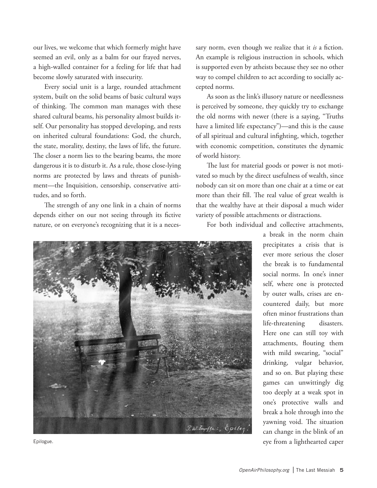our lives, we welcome that which formerly might have seemed an evil, only as a balm for our frayed nerves, a high-walled container for a feeling for life that had become slowly saturated with insecurity.

Every social unit is a large, rounded attachment system, built on the solid beams of basic cultural ways of thinking. The common man manages with these shared cultural beams, his personality almost builds itself. Our personality has stopped developing, and rests on inherited cultural foundations: God, the church, the state, morality, destiny, the laws of life, the future. The closer a norm lies to the bearing beams, the more dangerous it is to disturb it. As a rule, those close-lying norms are protected by laws and threats of punishment—the Inquisition, censorship, conservative attitudes, and so forth.

The strength of any one link in a chain of norms depends either on our not seeing through its fictive nature, or on everyone's recognizing that it is a neces-

sary norm, even though we realize that it *is* a fiction. An example is religious instruction in schools, which is supported even by atheists because they see no other way to compel children to act according to socially accepted norms.

As soon as the link's illusory nature or needlessness is perceived by someone, they quickly try to exchange the old norms with newer (there is a saying, "Truths have a limited life expectancy")—and this is the cause of all spiritual and cultural infighting, which, together with economic competition, constitutes the dynamic of world history.

The lust for material goods or power is not motivated so much by the direct usefulness of wealth, since nobody can sit on more than one chair at a time or eat more than their fill. The real value of great wealth is that the wealthy have at their disposal a much wider variety of possible attachments or distractions.

For both individual and collective attachments,

a break in the norm chain precipitates a crisis that is ever more serious the closer the break is to fundamental social norms. In one's inner self, where one is protected by outer walls, crises are encountered daily, but more often minor frustrations than life-threatening disasters. Here one can still toy with attachments, flouting them with mild swearing, "social" drinking, vulgar behavior, and so on. But playing these games can unwittingly dig too deeply at a weak spot in one's protective walls and break a hole through into the yawning void. The situation can change in the blink of an eye from a lighthearted caper





Epilogue.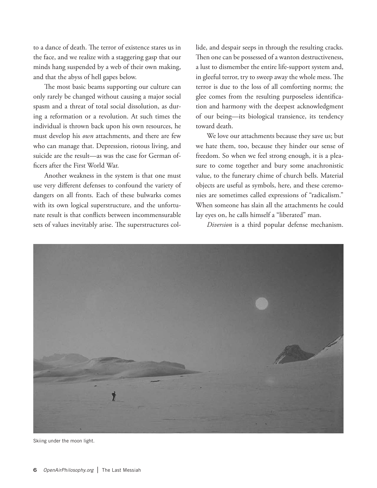to a dance of death. The terror of existence stares us in the face, and we realize with a staggering gasp that our minds hang suspended by a web of their own making, and that the abyss of hell gapes below.

The most basic beams supporting our culture can only rarely be changed without causing a major social spasm and a threat of total social dissolution, as during a reformation or a revolution. At such times the individual is thrown back upon his own resources, he must develop his *own* attachments, and there are few who can manage that. Depression, riotous living, and suicide are the result—as was the case for German officers after the First World War.

Another weakness in the system is that one must use very different defenses to confound the variety of dangers on all fronts. Each of these bulwarks comes with its own logical superstructure, and the unfortunate result is that conflicts between incommensurable sets of values inevitably arise. The superstructures collide, and despair seeps in through the resulting cracks. Then one can be possessed of a wanton destructiveness, a lust to dismember the entire life-support system and, in gleeful terror, try to sweep away the whole mess. The terror is due to the loss of all comforting norms; the glee comes from the resulting purposeless identification and harmony with the deepest acknowledgment of our being—its biological transience, its tendency toward death.

We love our attachments because they save us; but we hate them, too, because they hinder our sense of freedom. So when we feel strong enough, it is a pleasure to come together and bury some anachronistic value, to the funerary chime of church bells. Material objects are useful as symbols, here, and these ceremonies are sometimes called expressions of "radicalism." When someone has slain all the attachments he could lay eyes on, he calls himself a "liberated" man.

*Diversion* is a third popular defense mechanism.



Skiing under the moon light.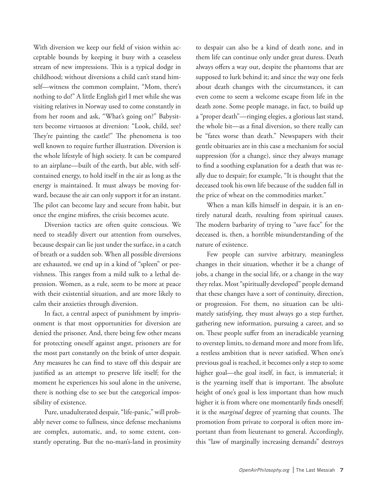With diversion we keep our field of vision within acceptable bounds by keeping it busy with a ceaseless stream of new impressions. This is a typical dodge in childhood; without diversions a child can't stand himself—witness the common complaint, "Mom, there's nothing to do!" A little English girl I met while she was visiting relatives in Norway used to come constantly in from her room and ask, "What's going on?" Babysitters become virtuosos at diversion: "Look, child, see? They're painting the castle!" The phenomena is too well known to require further illustration. Diversion is the whole lifestyle of high society. It can be compared to an airplane—built of the earth, but able, with selfcontained energy, to hold itself in the air as long as the energy is maintained. It must always be moving forward, because the air can only support it for an instant. The pilot can become lazy and secure from habit, but once the engine misfires, the crisis becomes acute.

Diversion tactics are often quite conscious. We need to steadily divert our attention from ourselves, because despair can lie just under the surface, in a catch of breath or a sudden sob. When all possible diversions are exhausted, we end up in a kind of "spleen" or peevishness. This ranges from a mild sulk to a lethal depression. Women, as a rule, seem to be more at peace with their existential situation, and are more likely to calm their anxieties through diversion.

In fact, a central aspect of punishment by imprisonment is that most opportunities for diversion are denied the prisoner. And, there being few other means for protecting oneself against angst, prisoners are for the most part constantly on the brink of utter despair. Any measures he can find to stave off this despair are justified as an attempt to preserve life itself; for the moment he experiences his soul alone in the universe, there is nothing else to see but the categorical impossibility of existence.

Pure, unadulterated despair, "life-panic," will probably never come to fullness, since defense mechanisms are complex, automatic, and, to some extent, constantly operating. But the no-man's-land in proximity to despair can also be a kind of death zone, and in them life can continue only under great duress. Death always offers a way out, despite the phantoms that are supposed to lurk behind it; and since the way one feels about death changes with the circumstances, it can even come to seem a welcome escape from life in the death zone. Some people manage, in fact, to build up a "proper death"—ringing elegies, a glorious last stand, the whole bit—as a final diversion, so there really can be "fates worse than death." Newspapers with their gentle obituaries are in this case a mechanism for social suppression (for a change), since they always manage to find a soothing explanation for a death that was really due to despair; for example, "It is thought that the deceased took his own life because of the sudden fall in the price of wheat on the commodities market."

When a man kills himself in despair, it is an entirely natural death, resulting from spiritual causes. The modern barbarity of trying to "save face" for the deceased is, then, a horrible misunderstanding of the nature of existence.

Few people can survive arbitrary, meaningless changes in their situation, whether it be a change of jobs, a change in the social life, or a change in the way they relax. Most "spiritually developed" people demand that these changes have a sort of continuity, direction, or progression. For them, no situation can be ultimately satisfying, they must always go a step further, gathering new information, pursuing a career, and so on. These people suffer from an ineradicable yearning to overstep limits, to demand more and more from life, a restless ambition that is never satisfied. When one's previous goal is reached, it becomes only a step to some higher goal—the goal itself, in fact, is immaterial; it is the yearning itself that is important. The absolute height of one's goal is less important than how much higher it is from where one momentarily finds oneself; it is the *marginal* degree of yearning that counts. The promotion from private to corporal is often more important than from lieutenant to general. Accordingly, this "law of marginally increasing demands" destroys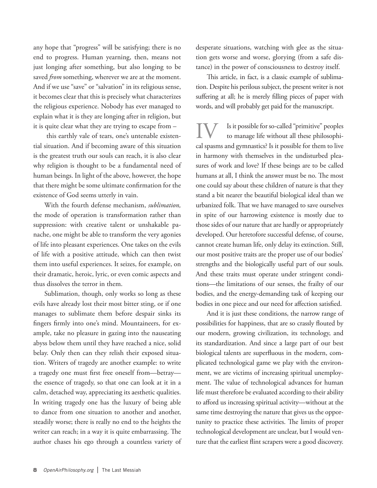any hope that "progress" will be satisfying; there is no end to progress. Human yearning, then, means not just longing after something, but also longing to be saved *from* something, wherever we are at the moment. And if we use "save" or "salvation" in its religious sense, it becomes clear that this is precisely what characterizes the religious experience. Nobody has ever managed to explain what it is they are longing after in religion, but it is quite clear what they are trying to escape from –

 this earthly vale of tears, one's untenable existential situation. And if becoming aware of this situation is the greatest truth our souls can reach, it is also clear why religion is thought to be a fundamental need of human beings. In light of the above, however, the hope that there might be some ultimate confirmation for the existence of God seems utterly in vain.

With the fourth defense mechanism, *sublimation,*  the mode of operation is transformation rather than suppression: with creative talent or unshakable panache, one might be able to transform the very agonies of life into pleasant experiences. One takes on the evils of life with a positive attitude, which can then twist them into useful experiences. It seizes, for example, on their dramatic, heroic, lyric, or even comic aspects and thus dissolves the terror in them.

Sublimation, though, only works so long as these evils have already lost their most bitter sting, or if one manages to sublimate them before despair sinks its fingers firmly into one's mind. Mountaineers, for example, take no pleasure in gazing into the nauseating abyss below them until they have reached a nice, solid belay. Only then can they relish their exposed situation. Writers of tragedy are another example: to write a tragedy one must first free oneself from—betray the essence of tragedy, so that one can look at it in a calm, detached way, appreciating its aesthetic qualities. In writing tragedy one has the luxury of being able to dance from one situation to another and another, steadily worse; there is really no end to the heights the writer can reach; in a way it is quite embarrassing. The author chases his ego through a countless variety of desperate situations, watching with glee as the situation gets worse and worse, glorying (from a safe distance) in the power of consciousness to destroy itself.

This article, in fact, is a classic example of sublimation. Despite his perilous subject, the present writer is not suffering at all; he is merely filling pieces of paper with words, and will probably get paid for the manuscript.

Is it possible for so-called "primitive" peoples to manage life without all these philosophical spasms and gymnastics? Is it possible for them to live in harmony with themselves in the undisturbed pleasures of work and love? If these beings are to be called humans at all, I think the answer must be no. The most one could say about these children of nature is that they stand a bit nearer the beautiful biological ideal than we urbanized folk. That we have managed to save ourselves in spite of our harrowing existence is mostly due to those sides of our nature that are hardly or appropriately developed. Our heretofore successful defense, of course, cannot create human life, only delay its extinction. Still, our most positive traits are the proper use of our bodies' strengths and the biologically useful part of our souls. And these traits must operate under stringent conditions—the limitations of our senses, the frailty of our bodies, and the energy-demanding task of keeping our bodies in one piece and our need for affection satisfied. IV

And it is just these conditions, the narrow range of possibilities for happiness, that are so crassly flouted by our modern, growing civilization, its technology, and its standardization. And since a large part of our best biological talents are superfluous in the modern, complicated technological game we play with the environment, we are victims of increasing spiritual unemployment. The value of technological advances for human life must therefore be evaluated according to their ability to afford us increasing spiritual activity—without at the same time destroying the nature that gives us the opportunity to practice these activities. The limits of proper technological development are unclear, but I would venture that the earliest flint scrapers were a good discovery.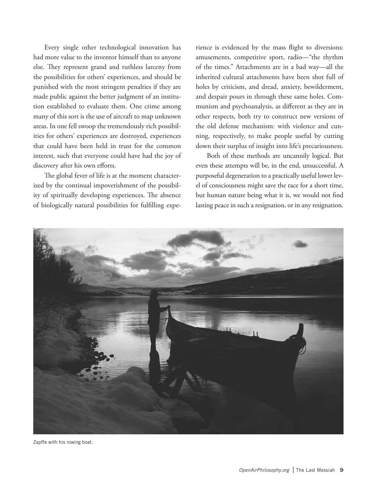Every single other technological innovation has had more value to the inventor himself than to anyone else. They represent grand and ruthless larceny from the possibilities for others' experiences, and should be punished with the most stringent penalties if they are made public against the better judgment of an institution established to evaluate them. One crime among many of this sort is the use of aircraft to map unknown areas. In one fell swoop the tremendously rich possibilities for others' experiences are destroyed, experiences that could have been held in trust for the common interest, such that everyone could have had the joy of discovery after his own efforts.

The global fever of life is at the moment characterized by the continual impoverishment of the possibility of spiritually developing experiences. The absence of biologically natural possibilities for fulfilling experience is evidenced by the mass flight to diversions: amusements, competitive sport, radio—"the rhythm of the times." Attachments are in a bad way—all the inherited cultural attachments have been shot full of holes by criticism, and dread, anxiety, bewilderment, and despair pours in through these same holes. Communism and psychoanalysis, as different as they are in other respects, both try to construct new versions of the old defense mechanism: with violence and cunning, respectively, to make people useful by cutting down their surplus of insight into life's precariousness.

Both of these methods are uncannily logical. But even these attempts will be, in the end, unsuccessful. A purposeful degeneration to a practically useful lower level of consciousness might save the race for a short time, but human nature being what it is, we would not find lasting peace in such a resignation, or in any resignation.



Zapffe with his rowing boat.